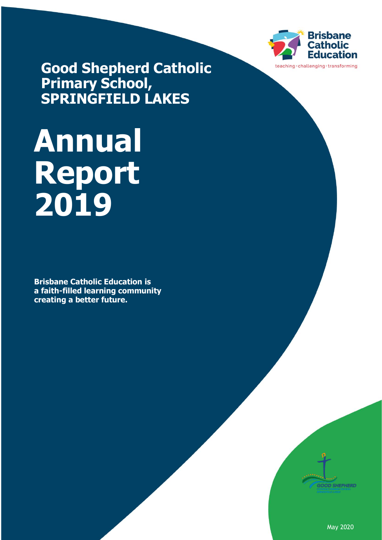

**Good Shepherd Catholic Primary School, SPRINGFIELD LAKES**

# **Annual Report 2019**

**Brisbane Catholic Education is a faith-filled learning community creating a better future.**



May 2020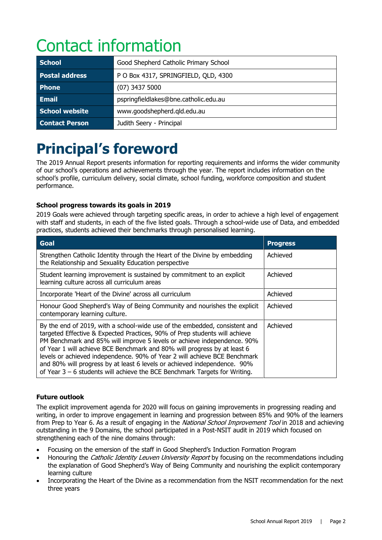# Contact information

| <b>School</b>         | Good Shepherd Catholic Primary School |
|-----------------------|---------------------------------------|
| <b>Postal address</b> | P O Box 4317, SPRINGFIELD, QLD, 4300  |
| <b>Phone</b>          | $(07)$ 3437 5000                      |
| <b>Email</b>          | pspringfieldlakes@bne.catholic.edu.au |
| <b>School website</b> | www.goodshepherd.gld.edu.au           |
| <b>Contact Person</b> | Judith Seery - Principal              |

# **Principal's foreword**

The 2019 Annual Report presents information for reporting requirements and informs the wider community of our school's operations and achievements through the year. The report includes information on the school's profile, curriculum delivery, social climate, school funding, workforce composition and student performance.

#### **School progress towards its goals in 2019**

2019 Goals were achieved through targeting specific areas, in order to achieve a high level of engagement with staff and students, in each of the five listed goals. Through a school-wide use of Data, and embedded practices, students achieved their benchmarks through personalised learning.

| <b>Goal</b>                                                                                                                                                                                                                                                                                                                                                                                                                                                                                                                                              | <b>Progress</b> |
|----------------------------------------------------------------------------------------------------------------------------------------------------------------------------------------------------------------------------------------------------------------------------------------------------------------------------------------------------------------------------------------------------------------------------------------------------------------------------------------------------------------------------------------------------------|-----------------|
| Strengthen Catholic Identity through the Heart of the Divine by embedding<br>the Relationship and Sexuality Education perspective                                                                                                                                                                                                                                                                                                                                                                                                                        | Achieved        |
| Student learning improvement is sustained by commitment to an explicit<br>learning culture across all curriculum areas                                                                                                                                                                                                                                                                                                                                                                                                                                   | Achieved        |
| Incorporate 'Heart of the Divine' across all curriculum                                                                                                                                                                                                                                                                                                                                                                                                                                                                                                  | Achieved        |
| Honour Good Shepherd's Way of Being Community and nourishes the explicit<br>contemporary learning culture.                                                                                                                                                                                                                                                                                                                                                                                                                                               | Achieved        |
| By the end of 2019, with a school-wide use of the embedded, consistent and<br>targeted Effective & Expected Practices, 90% of Prep students will achieve<br>PM Benchmark and 85% will improve 5 levels or achieve independence. 90%<br>of Year 1 will achieve BCE Benchmark and 80% will progress by at least 6<br>levels or achieved independence. 90% of Year 2 will achieve BCE Benchmark<br>and 80% will progress by at least 6 levels or achieved independence. 90%<br>of Year $3 - 6$ students will achieve the BCE Benchmark Targets for Writing. | Achieved        |

#### **Future outlook**

The explicit improvement agenda for 2020 will focus on gaining improvements in progressing reading and writing, in order to improve engagement in learning and progression between 85% and 90% of the learners from Prep to Year 6. As a result of engaging in the *National School Improvement Tool* in 2018 and achieving outstanding in the 9 Domains, the school participated in a Post-NSIT audit in 2019 which focused on strengthening each of the nine domains through:

- Focusing on the emersion of the staff in Good Shepherd's Induction Formation Program
- Honouring the Catholic Identity Leuven University Report by focusing on the recommendations including the explanation of Good Shepherd's Way of Being Community and nourishing the explicit contemporary learning culture
- Incorporating the Heart of the Divine as a recommendation from the NSIT recommendation for the next three years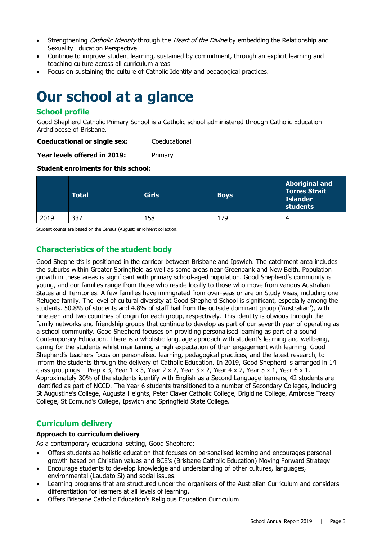- Strengthening Catholic Identity through the Heart of the Divine by embedding the Relationship and Sexuality Education Perspective
- Continue to improve student learning, sustained by commitment, through an explicit learning and teaching culture across all curriculum areas
- Focus on sustaining the culture of Catholic Identity and pedagogical practices.

### **Our school at a glance**

#### **School profile**

Good Shepherd Catholic Primary School is a Catholic school administered through Catholic Education Archdiocese of Brisbane.

**Coeducational or single sex:** Coeducational

**Year levels offered in 2019:** Primary

#### **Student enrolments for this school:**

|      | <b>Total</b> | <b>Girls</b> | <b>Boys</b> | <b>Aboriginal and</b><br><b>Torres Strait</b><br><b>Islander</b><br>students |
|------|--------------|--------------|-------------|------------------------------------------------------------------------------|
| 2019 | 337          | 158          | .79         | 4                                                                            |

Student counts are based on the Census (August) enrolment collection.

#### **Characteristics of the student body**

Good Shepherd's is positioned in the corridor between Brisbane and Ipswich. The catchment area includes the suburbs within Greater Springfield as well as some areas near Greenbank and New Beith. Population growth in these areas is significant with primary school-aged population. Good Shepherd's community is young, and our families range from those who reside locally to those who move from various Australian States and Territories. A few families have immigrated from over-seas or are on Study Visas, including one Refugee family. The level of cultural diversity at Good Shepherd School is significant, especially among the students. 50.8% of students and 4.8% of staff hail from the outside dominant group ('Australian'), with nineteen and two countries of origin for each group, respectively. This identity is obvious through the family networks and friendship groups that continue to develop as part of our seventh year of operating as a school community. Good Shepherd focuses on providing personalised learning as part of a sound Contemporary Education. There is a wholistic language approach with student's learning and wellbeing, caring for the students whilst maintaining a high expectation of their engagement with learning. Good Shepherd's teachers focus on personalised learning, pedagogical practices, and the latest research, to inform the students through the delivery of Catholic Education. In 2019, Good Shepherd is arranged in 14 class groupings – Prep x 3, Year 1 x 3, Year 2 x 2, Year 3 x 2, Year 4 x 2, Year 5 x 1, Year 6 x 1. Approximately 30% of the students identify with English as a Second Language learners, 42 students are identified as part of NCCD. The Year 6 students transitioned to a number of Secondary Colleges, including St Augustine's College, Augusta Heights, Peter Claver Catholic College, Brigidine College, Ambrose Treacy College, St Edmund's College, Ipswich and Springfield State College.

#### **Curriculum delivery**

#### **Approach to curriculum delivery**

As a contemporary educational setting, Good Shepherd:

- Offers students aa holistic education that focuses on personalised learning and encourages personal growth based on Christian values and BCE's (Brisbane Catholic Education) Moving Forward Strategy
- Encourage students to develop knowledge and understanding of other cultures, languages, environmental (Laudato Si) and social issues.
- Learning programs that are structured under the organisers of the Australian Curriculum and considers differentiation for learners at all levels of learning.
- Offers Brisbane Catholic Education's Religious Education Curriculum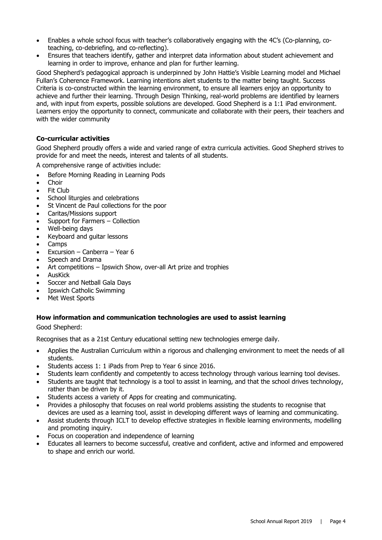- Enables a whole school focus with teacher's collaboratively engaging with the 4C's (Co-planning, coteaching, co-debriefing, and co-reflecting).
- Ensures that teachers identify, gather and interpret data information about student achievement and learning in order to improve, enhance and plan for further learning.

Good Shepherd's pedagogical approach is underpinned by John Hattie's Visible Learning model and Michael Fullan's Coherence Framework. Learning intentions alert students to the matter being taught. Success Criteria is co-constructed within the learning environment, to ensure all learners enjoy an opportunity to achieve and further their learning. Through Design Thinking, real-world problems are identified by learners and, with input from experts, possible solutions are developed. Good Shepherd is a 1:1 iPad environment. Learners enjoy the opportunity to connect, communicate and collaborate with their peers, their teachers and with the wider community

#### **Co-curricular activities**

Good Shepherd proudly offers a wide and varied range of extra curricula activities. Good Shepherd strives to provide for and meet the needs, interest and talents of all students.

A comprehensive range of activities include:

- Before Morning Reading in Learning Pods
- Choir
- Fit Club
- School liturgies and celebrations
- St Vincent de Paul collections for the poor
- Caritas/Missions support
- Support for Farmers Collection
- Well-being days
- Keyboard and guitar lessons
- Camps
- Excursion Canberra Year 6
- Speech and Drama
- Art competitions Ipswich Show, over-all Art prize and trophies
- AusKick
- Soccer and Netball Gala Days
- Ipswich Catholic Swimming
- Met West Sports

#### **How information and communication technologies are used to assist learning**

Good Shepherd:

Recognises that as a 21st Century educational setting new technologies emerge daily.

- Applies the Australian Curriculum within a rigorous and challenging environment to meet the needs of all students.
- Students access 1: 1 iPads from Prep to Year 6 since 2016.
- Students learn confidently and competently to access technology through various learning tool devises.
- Students are taught that technology is a tool to assist in learning, and that the school drives technology, rather than be driven by it.
- Students access a variety of Apps for creating and communicating.
- Provides a philosophy that focuses on real world problems assisting the students to recognise that devices are used as a learning tool, assist in developing different ways of learning and communicating.
- Assist students through ICLT to develop effective strategies in flexible learning environments, modelling and promoting inquiry.
- Focus on cooperation and independence of learning
- Educates all learners to become successful, creative and confident, active and informed and empowered to shape and enrich our world.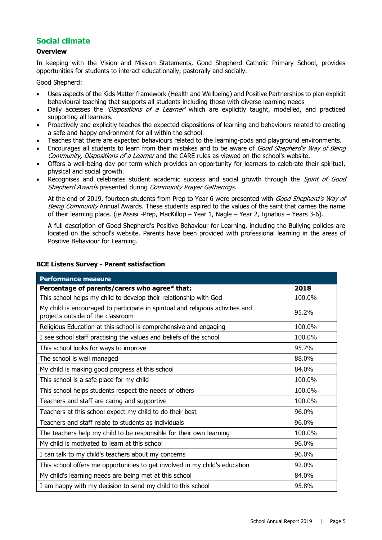#### **Social climate**

#### **Overview**

In keeping with the Vision and Mission Statements, Good Shepherd Catholic Primary School, provides opportunities for students to interact educationally, pastorally and socially.

Good Shepherd:

- Uses aspects of the Kids Matter framework (Health and Wellbeing) and Positive Partnerships to plan explicit behavioural teaching that supports all students including those with diverse learning needs
- Daily accesses the *'Dispositions of a Learner'* which are explicitly taught, modelled, and practiced supporting all learners.
- Proactively and explicitly teaches the expected dispositions of learning and behaviours related to creating a safe and happy environment for all within the school.
- Teaches that there are expected behaviours related to the learning-pods and playground environments.
- Encourages all students to learn from their mistakes and to be aware of Good Shepherd's Way of Being Community, Dispositions of a Learner and the CARE rules as viewed on the school's website.
- Offers a well-being day per term which provides an opportunity for learners to celebrate their spiritual, physical and social growth.
- Recognises and celebrates student academic success and social growth through the *Spirit of Good* Shepherd Awards presented during Community Prayer Gatherings.

At the end of 2019, fourteen students from Prep to Year 6 were presented with Good Shepherd's Way of Being Community Annual Awards. These students aspired to the values of the saint that carries the name of their learning place. (ie Assisi -Prep, MacKillop – Year 1, Nagle – Year 2, Ignatius – Years 3-6).

A full description of Good Shepherd's Positive Behaviour for Learning, including the Bullying policies are located on the school's website. Parents have been provided with professional learning in the areas of Positive Behaviour for Learning.

| <b>Performance measure</b>                                                                                           |        |
|----------------------------------------------------------------------------------------------------------------------|--------|
| Percentage of parents/carers who agree# that:                                                                        | 2018   |
| This school helps my child to develop their relationship with God                                                    | 100.0% |
| My child is encouraged to participate in spiritual and religious activities and<br>projects outside of the classroom | 95.2%  |
| Religious Education at this school is comprehensive and engaging                                                     | 100.0% |
| I see school staff practising the values and beliefs of the school                                                   | 100.0% |
| This school looks for ways to improve                                                                                | 95.7%  |
| The school is well managed                                                                                           | 88.0%  |
| My child is making good progress at this school                                                                      | 84.0%  |
| This school is a safe place for my child                                                                             | 100.0% |
| This school helps students respect the needs of others                                                               | 100.0% |
| Teachers and staff are caring and supportive                                                                         | 100.0% |
| Teachers at this school expect my child to do their best                                                             | 96.0%  |
| Teachers and staff relate to students as individuals                                                                 | 96.0%  |
| The teachers help my child to be responsible for their own learning                                                  | 100.0% |
| My child is motivated to learn at this school                                                                        | 96.0%  |
| I can talk to my child's teachers about my concerns                                                                  | 96.0%  |
| This school offers me opportunities to get involved in my child's education                                          | 92.0%  |
| My child's learning needs are being met at this school                                                               | 84.0%  |
| I am happy with my decision to send my child to this school                                                          | 95.8%  |

#### **BCE Listens Survey - Parent satisfaction**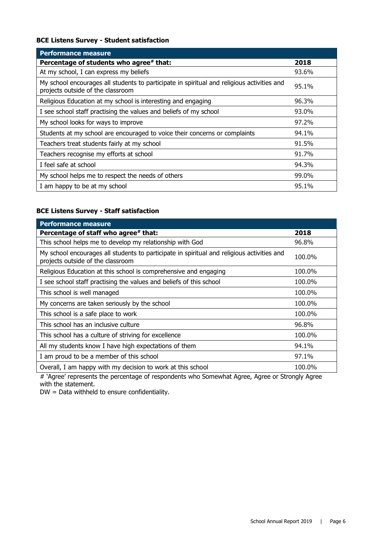#### **BCE Listens Survey - Student satisfaction**

| <b>Performance measure</b>                                                                                                      |       |
|---------------------------------------------------------------------------------------------------------------------------------|-------|
| Percentage of students who agree# that:                                                                                         | 2018  |
| At my school, I can express my beliefs                                                                                          | 93.6% |
| My school encourages all students to participate in spiritual and religious activities and<br>projects outside of the classroom | 95.1% |
| Religious Education at my school is interesting and engaging                                                                    | 96.3% |
| I see school staff practising the values and beliefs of my school                                                               | 93.0% |
| My school looks for ways to improve                                                                                             | 97.2% |
| Students at my school are encouraged to voice their concerns or complaints                                                      | 94.1% |
| Teachers treat students fairly at my school                                                                                     | 91.5% |
| Teachers recognise my efforts at school                                                                                         | 91.7% |
| I feel safe at school                                                                                                           | 94.3% |
| My school helps me to respect the needs of others                                                                               | 99.0% |
| I am happy to be at my school                                                                                                   | 95.1% |

#### **BCE Listens Survey - Staff satisfaction**

| <b>Performance measure</b>                                                                                                      |        |
|---------------------------------------------------------------------------------------------------------------------------------|--------|
| Percentage of staff who agree# that:                                                                                            | 2018   |
| This school helps me to develop my relationship with God                                                                        | 96.8%  |
| My school encourages all students to participate in spiritual and religious activities and<br>projects outside of the classroom | 100.0% |
| Religious Education at this school is comprehensive and engaging                                                                | 100.0% |
| I see school staff practising the values and beliefs of this school                                                             | 100.0% |
| This school is well managed                                                                                                     | 100.0% |
| My concerns are taken seriously by the school                                                                                   | 100.0% |
| This school is a safe place to work                                                                                             | 100.0% |
| This school has an inclusive culture                                                                                            | 96.8%  |
| This school has a culture of striving for excellence                                                                            | 100.0% |
| All my students know I have high expectations of them                                                                           | 94.1%  |
| I am proud to be a member of this school                                                                                        | 97.1%  |
| Overall, I am happy with my decision to work at this school                                                                     | 100.0% |

# 'Agree' represents the percentage of respondents who Somewhat Agree, Agree or Strongly Agree with the statement.

DW = Data withheld to ensure confidentiality.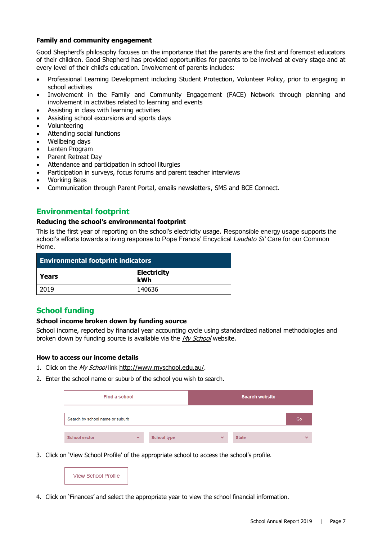#### **Family and community engagement**

Good Shepherd's philosophy focuses on the importance that the parents are the first and foremost educators of their children. Good Shepherd has provided opportunities for parents to be involved at every stage and at every level of their child's education. Involvement of parents includes:

- Professional Learning Development including Student Protection, Volunteer Policy, prior to engaging in school activities
- Involvement in the Family and Community Engagement (FACE) Network through planning and involvement in activities related to learning and events
- Assisting in class with learning activities
- Assisting school excursions and sports days
- Volunteering
- Attending social functions
- Wellbeing days
- Lenten Program
- Parent Retreat Day
- Attendance and participation in school liturgies
- Participation in surveys, focus forums and parent teacher interviews
- Working Bees
- Communication through Parent Portal, emails newsletters, SMS and BCE Connect.

#### **Environmental footprint**

#### **Reducing the school's environmental footprint**

This is the first year of reporting on the school's electricity usage. Responsible energy usage supports the school's efforts towards a living response to Pope Francis' Encyclical *Laudato Si'* Care for our Common Home.

| <b>Environmental footprint indicators</b> |                           |  |
|-------------------------------------------|---------------------------|--|
| Years                                     | <b>Electricity</b><br>kWh |  |
| 2019                                      | 140636                    |  |

#### **School funding**

#### **School income broken down by funding source**

School income, reported by financial year accounting cycle using standardized national methodologies and broken down by funding source is available via the [My School](http://www.myschool.edu.au/) website.

#### **How to access our income details**

- 1. Click on the My School link <http://www.myschool.edu.au/>.
- 2. Enter the school name or suburb of the school you wish to search.

| Find a school                   |              |                    | <b>Search website</b> |              |              |
|---------------------------------|--------------|--------------------|-----------------------|--------------|--------------|
| Search by school name or suburb |              |                    |                       |              | Go           |
| <b>School sector</b>            | $\checkmark$ | <b>School type</b> | $\checkmark$          | <b>State</b> | $\checkmark$ |

3. Click on 'View School Profile' of the appropriate school to access the school's profile.



4. Click on 'Finances' and select the appropriate year to view the school financial information.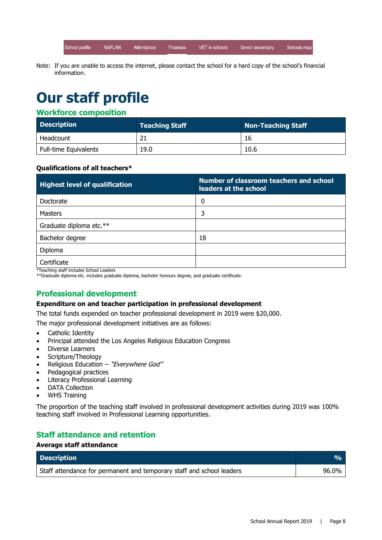**NAPLAN** School profile Attendance Finances VET in schools Senior secondary Schools map

Note: If you are unable to access the internet, please contact the school for a hard copy of the school's financial information.

# **Our staff profile**

#### **Workforce composition**

| <b>Description</b>    | <b>Teaching Staff</b> | Non-Teaching Staff |
|-----------------------|-----------------------|--------------------|
| Headcount             |                       | 16                 |
| Full-time Equivalents | 19.0                  | 10.6               |

#### **Qualifications of all teachers\***

| <b>Highest level of qualification</b> | Number of classroom teachers and school<br>leaders at the school |
|---------------------------------------|------------------------------------------------------------------|
| Doctorate                             | 0                                                                |
| <b>Masters</b>                        | 3                                                                |
| Graduate diploma etc.**               |                                                                  |
| Bachelor degree                       | 18                                                               |
| Diploma                               |                                                                  |
| Certificate                           |                                                                  |

\*Teaching staff includes School Leaders

\*\*Graduate diploma etc. includes graduate diploma, bachelor honours degree, and graduate certificate.

#### **Professional development**

#### **Expenditure on and teacher participation in professional development**

The total funds expended on teacher professional development in 2019 were \$20,000.

The major professional development initiatives are as follows:

- Catholic Identity
- Principal attended the Los Angeles Religious Education Congress
- **Diverse Learners**
- Scripture/Theology
- Religious Education "Everywhere God"
- Pedagogical practices
- Literacy Professional Learning
- DATA Collection
- WHS Training

The proportion of the teaching staff involved in professional development activities during 2019 was 100% teaching staff involved in Professional Learning opportunities.

#### **Staff attendance and retention**

#### **Average staff attendance**

| <b>Description</b>                                                    |       |
|-----------------------------------------------------------------------|-------|
| Staff attendance for permanent and temporary staff and school leaders | 96.0% |